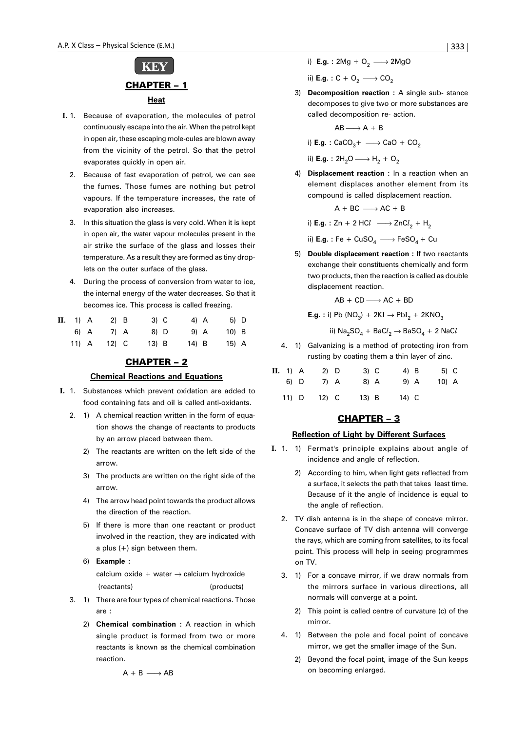

- **I.** 1. Because of evaporation, the molecules of petrol continuously escape into the air. When the petrol kept in open air, these escaping mole-cules are blown away from the vicinity of the petrol. So that the petrol evaporates quickly in open air.
	- 2. Because of fast evaporation of petrol, we can see the fumes. Those fumes are nothing but petrol vapours. If the temperature increases, the rate of evaporation also increases.
	- 3. In this situation the glass is very cold. When it is kept in open air, the water vapour molecules present in the air strike the surface of the glass and losses their temperature. As a result they are formed as tiny droplets on the outer surface of the glass.
	- 4. During the process of conversion from water to ice, the internal energy of the water decreases. So that it becomes ice. This process is called freezing.

| <b>II.</b> 1) A | $2)$ B  | 3) C    | 4) A    | 5) D    |  |
|-----------------|---------|---------|---------|---------|--|
| 6) A            | 7) A    | 8) D    | $9)$ A  | $10$ B  |  |
| $11)$ A         | $12)$ C | $13)$ B | $14)$ B | $15)$ A |  |

## CHAPTER – 2

## **Chemical Reactions and Equations**

- **I.** 1. Substances which prevent oxidation are added to food containing fats and oil is called anti-oxidants.
	- 2. 1) A chemical reaction written in the form of equation shows the change of reactants to products by an arrow placed between them.
		- 2) The reactants are written on the left side of the arrow.
		- 3) The products are written on the right side of the arrow.
		- 4) The arrow head point towards the product allows the direction of the reaction.
		- 5) If there is more than one reactant or product involved in the reaction, they are indicated with a plus (+) sign between them.
		- 6) **Example :** calcium oxide + water  $\rightarrow$  calcium hydroxide (reactants) (products)
	- 3. 1) There are four types of chemical reactions. Those are :
		- 2) **Chemical combination :** A reaction in which single product is formed from two or more reactants is known as the chemical combination reaction.

ii) **E.g.** :  $C + O_2 \longrightarrow CO_2$ 

3) **Decomposition reaction :** A single sub- stance decomposes to give two or more substances are called decomposition re- action.

$$
AB \longrightarrow A + B
$$

i) **E.g.** :  $CaCO<sub>3</sub> + \longrightarrow CaO + CO<sub>2</sub>$ 

ii) **E.g.** :  $2H_2O \longrightarrow H_2 + O_2$ 

4) **Displacement reaction :** In a reaction when an element displaces another element from its compound is called displacement reaction.

$$
A + BC \longrightarrow AC + B
$$

i) **E.g.** : Zn + 2 HC $l$   $\longrightarrow$  ZnC $l_2$  + H<sub>2</sub>

ii) **E.g.** : Fe + CuSO<sub>4</sub>  $\longrightarrow$  FeSO<sub>4</sub> + Cu

5) **Double displacement reaction :** If two reactants exchange their constituents chemically and form two products, then the reaction is called as double displacement reaction.

$$
AB + CD \longrightarrow AC + BD
$$

**E.g.** : i) Pb (NO<sub>3</sub>) + 2KI 
$$
\rightarrow
$$
 PbI<sub>2</sub> + 2KNO<sub>3</sub>

ii)  $\mathsf{Na_2SO_4} + \mathsf{BaCl_2} \rightarrow \mathsf{BaSO_4} + 2\mathsf{\:NaCl}$ 

4. 1) Galvanizing is a method of protecting iron from rusting by coating them a thin layer of zinc.

| <b>II.</b> 1) A | $2)$ D |         | 3) C | 4) B  | 5) C  |  |
|-----------------|--------|---------|------|-------|-------|--|
| 6) D            | 7) A   |         | 8) A | 9) A  | 10) A |  |
| $11)$ D         | 12) C  | $13)$ B |      | 14) C |       |  |

## CHAPTER – 3

## **Reflection of Light by Different Surfaces**

- **I.** 1. 1) Fermat's principle explains about angle of incidence and angle of reflection.
	- 2) According to him, when light gets reflected from a surface, it selects the path that takes least time. Because of it the angle of incidence is equal to the angle of reflection.
	- 2. TV dish antenna is in the shape of concave mirror. Concave surface of TV dish antenna will converge the rays, which are coming from satellites, to its focal point. This process will help in seeing programmes on TV.
	- 3. 1) For a concave mirror, if we draw normals from the mirrors surface in various directions, all normals will converge at a point.
		- 2) This point is called centre of curvature (c) of the mirror.
	- 4. 1) Between the pole and focal point of concave mirror, we get the smaller image of the Sun.
		- 2) Beyond the focal point, image of the Sun keeps on becoming enlarged.

 $A + B \longrightarrow AB$